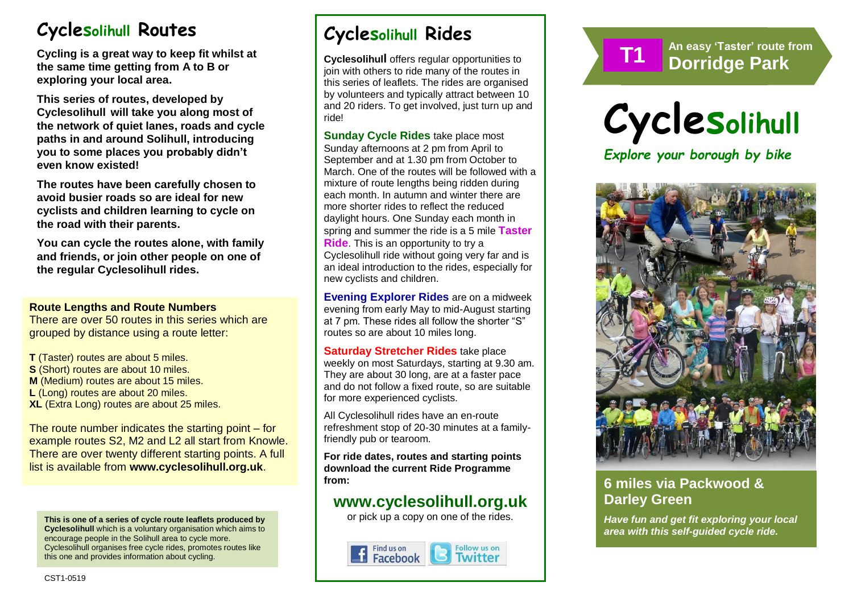# **Cyclesolihull Routes**

**Cycling is a great way to keep fit whilst at the same time getting from A to B or exploring your local area.** 

**This series of routes, developed by Cyclesolihull will take you along most of the network of quiet lanes, roads and cycle paths in and around Solihull, introducing you to some places you probably didn't even know existed!**

**The routes have been carefully chosen to avoid busier roads so are ideal for new cyclists and children learning to cycle on the road with their parents.** 

**You can cycle the routes alone, with family and friends, or join other people on one of the regular Cyclesolihull rides.**

#### **Route Lengths and Route Numbers**

There are over 50 routes in this series which are grouped by distance using a route letter:

**T** (Taster) routes are about 5 miles. **S** (Short) routes are about 10 miles. **M** (Medium) routes are about 15 miles. **L** (Long) routes are about 20 miles. **XL** (Extra Long) routes are about 25 miles.

The route number indicates the starting point – for example routes S2, M2 and L2 all start from Knowle. There are over twenty different starting points. A full list is available from **www.cyclesolihull.org.uk**.

**This is one of a series of cycle route leaflets produced by Cyclesolihull** which is a voluntary organisation which aims to encourage people in the Solihull area to cycle more. Cyclesolihull organises free cycle rides, promotes routes like this one and provides information about cycling.

# **Cyclesolihull Rides**

**Cyclesolihull** offers regular opportunities to join with others to ride many of the routes in this series of leaflets. The rides are organised by volunteers and typically attract between 10 and 20 riders. To get involved, just turn up and ride!

**Sunday Cycle Rides** take place most Sunday afternoons at 2 pm from April to September and at 1.30 pm from October to March. One of the routes will be followed with a mixture of route lengths being ridden during each month. In autumn and winter there are more shorter rides to reflect the reduced daylight hours. One Sunday each month in spring and summer the ride is a 5 mile **Taster Ride**. This is an opportunity to try a Cyclesolihull ride without going very far and is an ideal introduction to the rides, especially for new cyclists and children.

**Evening Explorer Rides** are on a midweek evening from early May to mid-August starting at 7 pm. These rides all follow the shorter "S" routes so are about 10 miles long.

**Saturday Stretcher Rides** take place weekly on most Saturdays, starting at 9.30 am. They are about 30 long, are at a faster pace and do not follow a fixed route, so are suitable for more experienced cyclists.

All Cyclesolihull rides have an en-route refreshment stop of 20-30 minutes at a familyfriendly pub or tearoom.

**For ride dates, routes and starting points download the current Ride Programme from:** 

## **www.cyclesolihull.org.uk**

or pick up a copy on one of the rides.







*Explore your borough by bike*



## **6 miles via Packwood & Darley Green**

*Have fun and get fit exploring your local area with this self-guided cycle ride.*